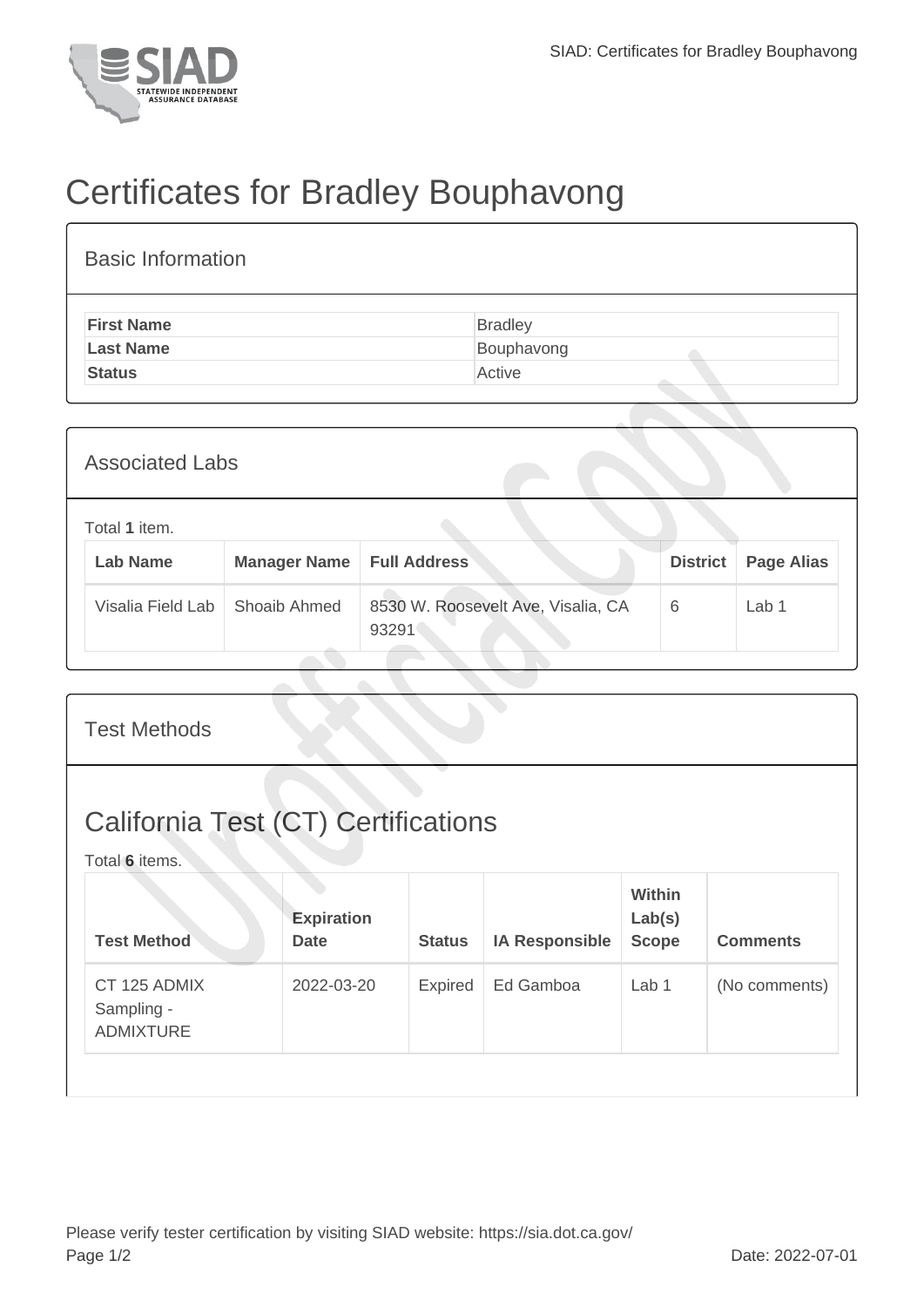

## Certificates for Bradley Bouphavong

| <b>Basic Information</b> |                |
|--------------------------|----------------|
| <b>First Name</b>        | <b>Bradley</b> |
| <b>Last Name</b>         | Bouphavong     |
| <b>Status</b>            | Active         |
|                          |                |

| <b>Associated Labs</b>           |                     |                                             |                 |                   |  |  |
|----------------------------------|---------------------|---------------------------------------------|-----------------|-------------------|--|--|
| Total 1 item.<br><b>Lab Name</b> | <b>Manager Name</b> | <b>Full Address</b>                         | <b>District</b> | <b>Page Alias</b> |  |  |
| Visalia Field Lab                | Shoaib Ahmed        | 8530 W. Roosevelt Ave, Visalia, CA<br>93291 | 6               | Lab 1             |  |  |

| <b>Test Methods</b>                                          |                                  |               |                       |                                         |                 |  |
|--------------------------------------------------------------|----------------------------------|---------------|-----------------------|-----------------------------------------|-----------------|--|
| <b>California Test (CT) Certifications</b><br>Total 6 items. |                                  |               |                       |                                         |                 |  |
| <b>Test Method</b>                                           | <b>Expiration</b><br><b>Date</b> | <b>Status</b> | <b>IA Responsible</b> | <b>Within</b><br>Lab(s)<br><b>Scope</b> | <b>Comments</b> |  |
| CT 125 ADMIX<br>Sampling -<br><b>ADMIXTURE</b>               | 2022-03-20                       | Expired       | Ed Gamboa             | Lab 1                                   | (No comments)   |  |
|                                                              |                                  |               |                       |                                         |                 |  |